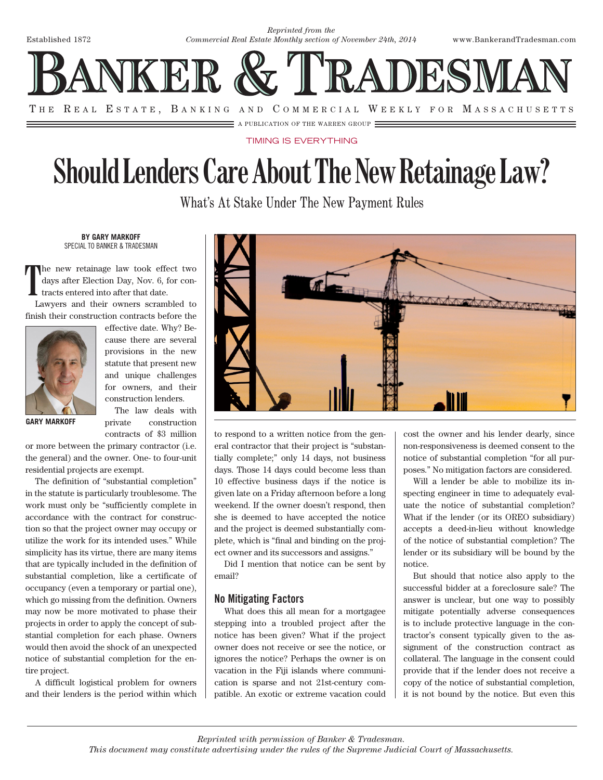

## TIMING IS EVERYTHING

## **Should Lenders Care About The New Retainage Law?**

What's At Stake Under The New Payment Rules

**BY GARY MARKOFF** SPECIAL TO BANKER & TRADESMAN

**T** he new retainage law took effect two days after Election Day, Nov. 6, for contracts entered into after that date.

Lawyers and their owners scrambled to finish their construction contracts before the



effective date. Why? Because there are several provisions in the new statute that present new and unique challenges for owners, and their construction lenders.

**GARY MARKOFF**

The law deals with private construction contracts of \$3 million

or more between the primary contractor (i.e. the general) and the owner. One- to four-unit residential projects are exempt.

The definition of "substantial completion" in the statute is particularly troublesome. The work must only be "sufficiently complete in accordance with the contract for construction so that the project owner may occupy or utilize the work for its intended uses." While simplicity has its virtue, there are many items that are typically included in the definition of substantial completion, like a certificate of occupancy (even a temporary or partial one), which go missing from the definition. Owners may now be more motivated to phase their projects in order to apply the concept of substantial completion for each phase. Owners would then avoid the shock of an unexpected notice of substantial completion for the entire project.

A difficult logistical problem for owners and their lenders is the period within which



to respond to a written notice from the general contractor that their project is "substantially complete;" only 14 days, not business days. Those 14 days could become less than 10 effective business days if the notice is given late on a Friday afternoon before a long weekend. If the owner doesn't respond, then she is deemed to have accepted the notice and the project is deemed substantially complete, which is "final and binding on the project owner and its successors and assigns."

Did I mention that notice can be sent by email?

## No Mitigating Factors

What does this all mean for a mortgagee stepping into a troubled project after the notice has been given? What if the project owner does not receive or see the notice, or ignores the notice? Perhaps the owner is on vacation in the Fiji islands where communication is sparse and not 21st-century compatible. An exotic or extreme vacation could cost the owner and his lender dearly, since non-responsiveness is deemed consent to the notice of substantial completion "for all purposes." No mitigation factors are considered.

Will a lender be able to mobilize its inspecting engineer in time to adequately evaluate the notice of substantial completion? What if the lender (or its OREO subsidiary) accepts a deed-in-lieu without knowledge of the notice of substantial completion? The lender or its subsidiary will be bound by the notice.

But should that notice also apply to the successful bidder at a foreclosure sale? The answer is unclear, but one way to possibly mitigate potentially adverse consequences is to include protective language in the contractor's consent typically given to the assignment of the construction contract as collateral. The language in the consent could provide that if the lender does not receive a copy of the notice of substantial completion, it is not bound by the notice. But even this